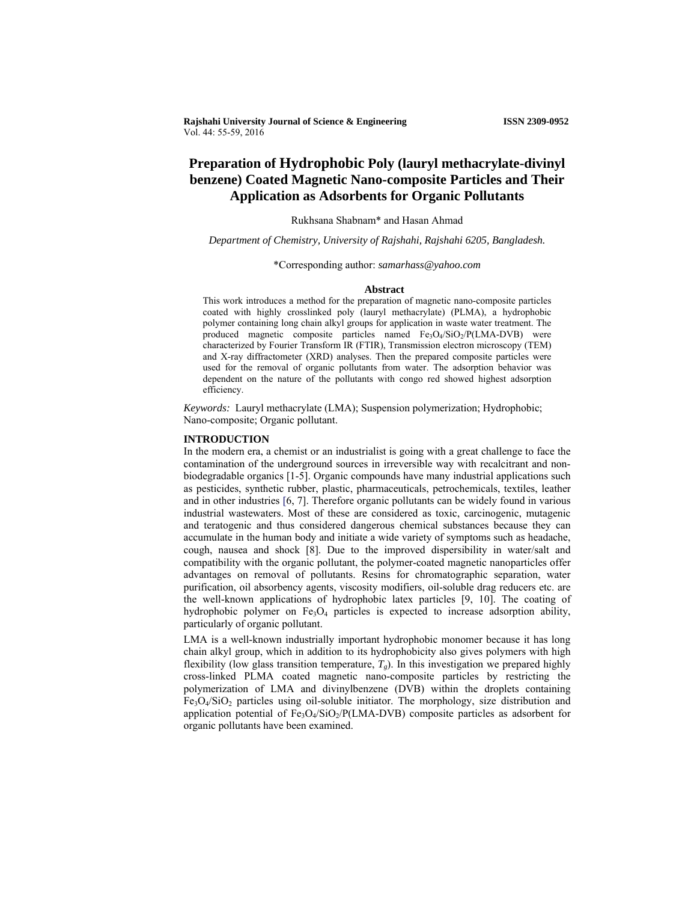**Rajshahi University Journal of Science & Engineering ISSN 2309-0952**  Vol. 44: 55-59, 2016

# **Preparation of Hydrophobic Poly (lauryl methacrylate-divinyl benzene) Coated Magnetic Nano-composite Particles and Their Application as Adsorbents for Organic Pollutants**

# Rukhsana Shabnam\* and Hasan Ahmad

*Department of Chemistry, University of Rajshahi, Rajshahi 6205, Bangladesh.* 

\*Corresponding author: *samarhass@yahoo.com*

### **Abstract**

This work introduces a method for the preparation of magnetic nano-composite particles coated with highly crosslinked poly (lauryl methacrylate) (PLMA), a hydrophobic polymer containing long chain alkyl groups for application in waste water treatment. The produced magnetic composite particles named Fe<sub>3</sub>O<sub>4</sub>/SiO<sub>2</sub>/P(LMA-DVB) were characterized by Fourier Transform IR (FTIR), Transmission electron microscopy (TEM) and X-ray diffractometer (XRD) analyses. Then the prepared composite particles were used for the removal of organic pollutants from water. The adsorption behavior was dependent on the nature of the pollutants with congo red showed highest adsorption efficiency.

*Keywords:* Lauryl methacrylate (LMA); Suspension polymerization; Hydrophobic; Nano-composite; Organic pollutant.

### **INTRODUCTION**

In the modern era, a chemist or an industrialist is going with a great challenge to face the contamination of the underground sources in irreversible way with recalcitrant and nonbiodegradable organics [1-5]. Organic compounds have many industrial applications such as pesticides, synthetic rubber, plastic, pharmaceuticals, petrochemicals, textiles, leather and in other industries [6, 7]. Therefore organic pollutants can be widely found in various industrial wastewaters. Most of these are considered as toxic, carcinogenic, mutagenic and teratogenic and thus considered dangerous chemical substances because they can accumulate in the human body and initiate a wide variety of symptoms such as headache, cough, nausea and shock [8]. Due to the improved dispersibility in water/salt and compatibility with the organic pollutant, the polymer-coated magnetic nanoparticles offer advantages on removal of pollutants. Resins for chromatographic separation, water purification, oil absorbency agents, viscosity modifiers, oil-soluble drag reducers etc. are the well-known applications of hydrophobic latex particles [9, 10]. The coating of hydrophobic polymer on  $Fe<sub>3</sub>O<sub>4</sub>$  particles is expected to increase adsorption ability, particularly of organic pollutant.

LMA is a well-known industrially important hydrophobic monomer because it has long chain alkyl group, which in addition to its hydrophobicity also gives polymers with high flexibility (low glass transition temperature,  $T_g$ ). In this investigation we prepared highly cross-linked PLMA coated magnetic nano-composite particles by restricting the polymerization of LMA and divinylbenzene (DVB) within the droplets containing  $Fe<sub>3</sub>O<sub>4</sub>/SiO<sub>2</sub>$  particles using oil-soluble initiator. The morphology, size distribution and application potential of  $Fe<sub>3</sub>O<sub>4</sub>/SiO<sub>2</sub>/P(LMA-DVB)$  composite particles as adsorbent for organic pollutants have been examined.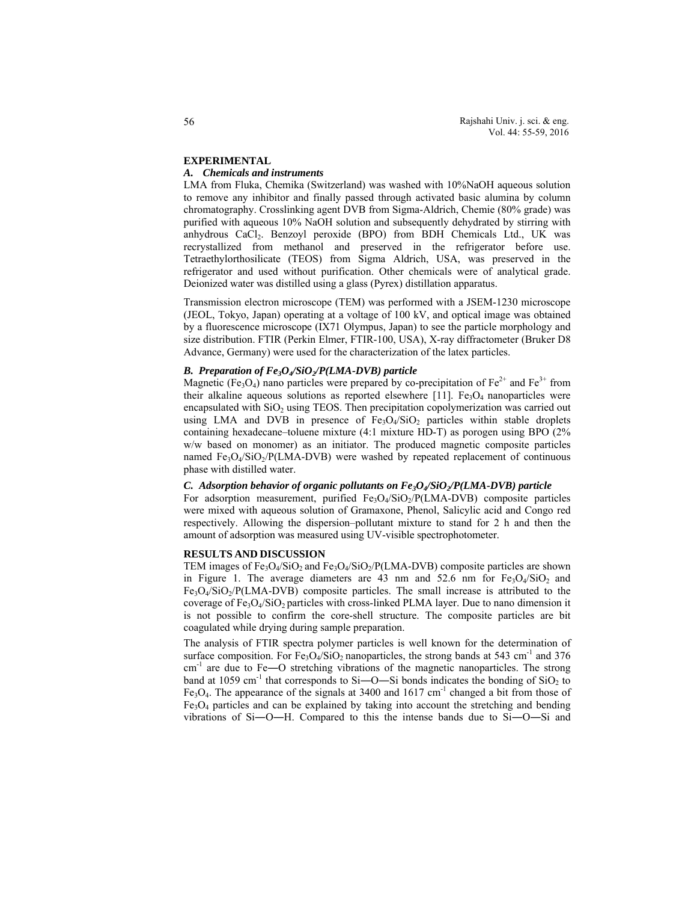# **EXPERIMENTAL**

### *A. Chemicals and instruments*

LMA from Fluka, Chemika (Switzerland) was washed with 10%NaOH aqueous solution to remove any inhibitor and finally passed through activated basic alumina by column chromatography. Crosslinking agent DVB from Sigma-Aldrich, Chemie (80% grade) was purified with aqueous 10% NaOH solution and subsequently dehydrated by stirring with anhydrous CaCl<sub>2</sub>. Benzoyl peroxide (BPO) from BDH Chemicals Ltd., UK was recrystallized from methanol and preserved in the refrigerator before use. Tetraethylorthosilicate (TEOS) from Sigma Aldrich, USA, was preserved in the refrigerator and used without purification. Other chemicals were of analytical grade. Deionized water was distilled using a glass (Pyrex) distillation apparatus.

Transmission electron microscope (TEM) was performed with a JSEM-1230 microscope (JEOL, Tokyo, Japan) operating at a voltage of 100 kV, and optical image was obtained by a fluorescence microscope (IX71 Olympus, Japan) to see the particle morphology and size distribution. FTIR (Perkin Elmer, FTIR-100, USA), X-ray diffractometer (Bruker D8 Advance, Germany) were used for the characterization of the latex particles.

# *B. Preparation of Fe3O4/SiO2/P(LMA-DVB) particle*

Magnetic (Fe<sub>3</sub>O<sub>4</sub>) nano particles were prepared by co-precipitation of Fe<sup>2+</sup> and Fe<sup>3+</sup> from their alkaline aqueous solutions as reported elsewhere  $[11]$ . Fe<sub>3</sub>O<sub>4</sub> nanoparticles were encapsulated with  $SiO<sub>2</sub>$  using TEOS. Then precipitation copolymerization was carried out using LMA and DVB in presence of  $Fe<sub>3</sub>O<sub>4</sub>/SiO<sub>2</sub>$  particles within stable droplets containing hexadecane–toluene mixture (4:1 mixture HD-T) as porogen using BPO (2% w/w based on monomer) as an initiator. The produced magnetic composite particles named  $Fe<sub>3</sub>O<sub>4</sub>/SiO<sub>2</sub>/P(LMA-DVB)$  were washed by repeated replacement of continuous phase with distilled water.

# *C. Adsorption behavior of organic pollutants on Fe<sub>3</sub>O<sub>4</sub>/SiO<sub>2</sub>/P(LMA-DVB) particle*

For adsorption measurement, purified  $Fe<sub>3</sub>O<sub>4</sub>/SiO<sub>2</sub>/P(LMA-DVB)$  composite particles were mixed with aqueous solution of Gramaxone, Phenol, Salicylic acid and Congo red respectively. Allowing the dispersion–pollutant mixture to stand for 2 h and then the amount of adsorption was measured using UV-visible spectrophotometer.

### **RESULTS AND DISCUSSION**

TEM images of  $Fe<sub>3</sub>O<sub>4</sub>/SiO<sub>2</sub>$  and  $Fe<sub>3</sub>O<sub>4</sub>/SiO<sub>2</sub>/P(LMA-DVB)$  composite particles are shown in Figure 1. The average diameters are 43 nm and  $52.6$  nm for  $Fe<sub>3</sub>O<sub>4</sub>/SiO<sub>2</sub>$  and Fe3O4/SiO2/P(LMA-DVB) composite particles. The small increase is attributed to the coverage of  $Fe<sub>3</sub>O<sub>4</sub>/SiO<sub>2</sub>$  particles with cross-linked PLMA layer. Due to nano dimension it is not possible to confirm the core-shell structure. The composite particles are bit coagulated while drying during sample preparation.

The analysis of FTIR spectra polymer particles is well known for the determination of surface composition. For  $Fe<sub>3</sub>O<sub>4</sub>/SiO<sub>2</sub>$  nanoparticles, the strong bands at 543 cm<sup>-1</sup> and 376  $cm<sup>-1</sup>$  are due to Fe—O stretching vibrations of the magnetic nanoparticles. The strong band at 1059 cm<sup>-1</sup> that corresponds to Si- $O-$ Si bonds indicates the bonding of SiO<sub>2</sub> to Fe<sub>3</sub>O<sub>4</sub>. The appearance of the signals at 3400 and 1617 cm<sup>-1</sup> changed a bit from those of  $Fe<sub>3</sub>O<sub>4</sub>$  particles and can be explained by taking into account the stretching and bending vibrations of Si―O―H. Compared to this the intense bands due to Si―O―Si and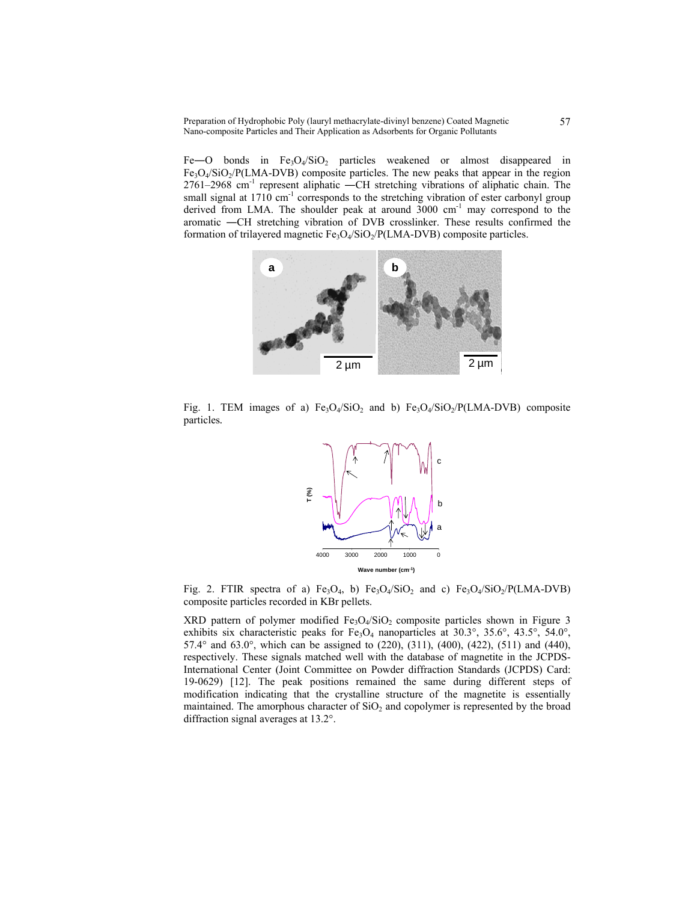Preparation of Hydrophobic Poly (lauryl methacrylate-divinyl benzene) Coated Magnetic Nano-composite Particles and Their Application as Adsorbents for Organic Pollutants

Fe-O bonds in  $Fe<sub>3</sub>O<sub>4</sub>/SiO<sub>2</sub>$  particles weakened or almost disappeared in  $Fe<sub>3</sub>O<sub>4</sub>/SiO<sub>2</sub>/P(LMA-DVB)$  composite particles. The new peaks that appear in the region 2761–2968 cm-1 represent aliphatic ―CH stretching vibrations of aliphatic chain. The small signal at  $1710 \text{ cm}^{-1}$  corresponds to the stretching vibration of ester carbonyl group derived from LMA. The shoulder peak at around 3000 cm<sup>-1</sup> may correspond to the aromatic ―CH stretching vibration of DVB crosslinker. These results confirmed the formation of trilayered magnetic  $Fe<sub>3</sub>O<sub>4</sub>/SiO<sub>2</sub>/P(LMA-DVB)$  composite particles.



Fig. 1. TEM images of a)  $Fe<sub>3</sub>O<sub>4</sub>/SiO<sub>2</sub>$  and b)  $Fe<sub>3</sub>O<sub>4</sub>/SiO<sub>2</sub>/P(LMA-DVB)$  composite particles*.*



Fig. 2. FTIR spectra of a) Fe<sub>3</sub>O<sub>4</sub>, b) Fe<sub>3</sub>O<sub>4</sub>/SiO<sub>2</sub> and c) Fe<sub>3</sub>O<sub>4</sub>/SiO<sub>2</sub>/P(LMA-DVB) composite particles recorded in KBr pellets.

XRD pattern of polymer modified  $Fe<sub>3</sub>O<sub>4</sub>/SiO<sub>2</sub>$  composite particles shown in Figure 3 exhibits six characteristic peaks for Fe<sub>3</sub>O<sub>4</sub> nanoparticles at 30.3°, 35.6°, 43.5°, 54.0°, 57.4° and 63.0°, which can be assigned to (220), (311), (400), (422), (511) and (440), respectively. These signals matched well with the database of magnetite in the JCPDS-International Center (Joint Committee on Powder diffraction Standards (JCPDS) Card: 19-0629) [12]. The peak positions remained the same during different steps of modification indicating that the crystalline structure of the magnetite is essentially maintained. The amorphous character of  $SiO<sub>2</sub>$  and copolymer is represented by the broad diffraction signal averages at 13.2°.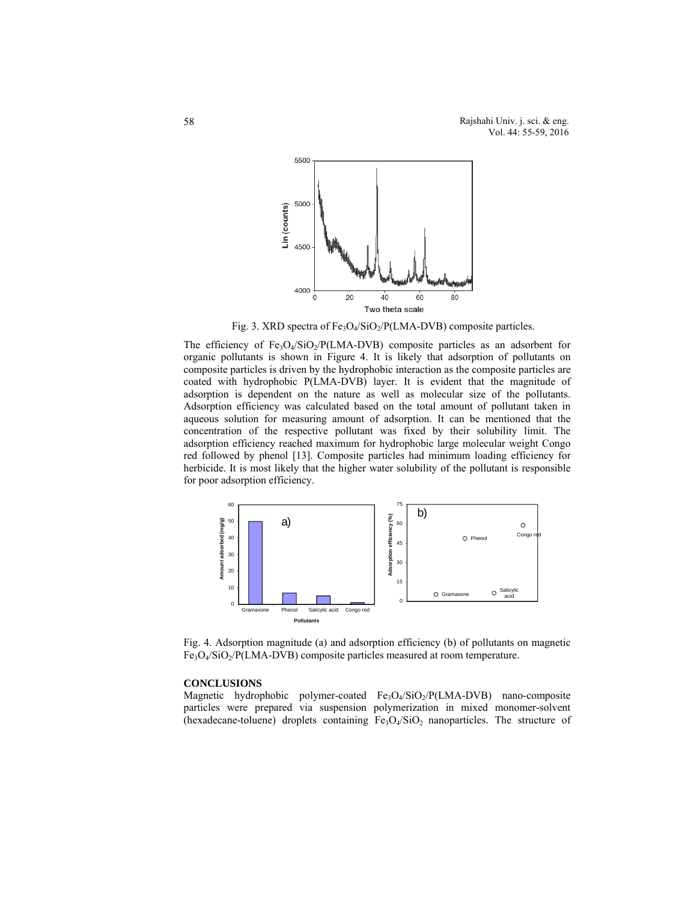

Fig. 3. XRD spectra of Fe<sub>3</sub>O<sub>4</sub>/SiO<sub>2</sub>/P(LMA-DVB) composite particles.

The efficiency of  $Fe<sub>3</sub>O<sub>4</sub>/SiO<sub>2</sub>/P(LMA-DVB)$  composite particles as an adsorbent for organic pollutants is shown in Figure 4. It is likely that adsorption of pollutants on composite particles is driven by the hydrophobic interaction as the composite particles are coated with hydrophobic P(LMA-DVB) layer. It is evident that the magnitude of adsorption is dependent on the nature as well as molecular size of the pollutants. Adsorption efficiency was calculated based on the total amount of pollutant taken in aqueous solution for measuring amount of adsorption. It can be mentioned that the concentration of the respective pollutant was fixed by their solubility limit. The adsorption efficiency reached maximum for hydrophobic large molecular weight Congo red followed by phenol [13]. Composite particles had minimum loading efficiency for herbicide. It is most likely that the higher water solubility of the pollutant is responsible for poor adsorption efficiency.



Fig. 4. Adsorption magnitude (a) and adsorption efficiency (b) of pollutants on magnetic  $Fe<sub>3</sub>O<sub>4</sub>/SiO<sub>2</sub>/P(LMA-DVB)$  composite particles measured at room temperature.

# **CONCLUSIONS**

Magnetic hydrophobic polymer-coated Fe<sub>3</sub>O<sub>4</sub>/SiO<sub>2</sub>/P(LMA-DVB) nano-composite particles were prepared via suspension polymerization in mixed monomer-solvent (hexadecane-toluene) droplets containing  $Fe<sub>3</sub>O<sub>4</sub>/SiO<sub>2</sub>$  nanoparticles. The structure of